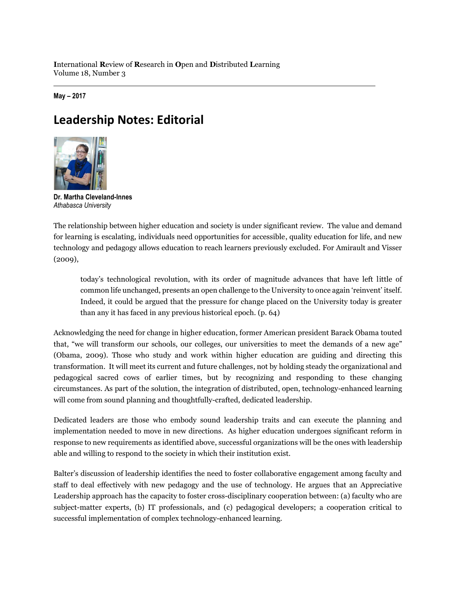**I**nternational **R**eview of **R**esearch in **O**pen and **D**istributed **L**earning Volume 18, Number 3

**May – 2017**

## **Leadership Notes: Editorial**



**Dr. Martha Cleveland-Innes** *Athabasca University*

The relationship between higher education and society is under significant review. The value and demand for learning is escalating, individuals need opportunities for accessible, quality education for life, and new technology and pedagogy allows education to reach learners previously excluded. For Amirault and Visser (2009),

today's technological revolution, with its order of magnitude advances that have left little of common life unchanged, presents an open challenge to the University to once again 'reinvent' itself. Indeed, it could be argued that the pressure for change placed on the University today is greater than any it has faced in any previous historical epoch. (p. 64)

Acknowledging the need for change in higher education, former American president Barack Obama touted that, "we will transform our schools, our colleges, our universities to meet the demands of a new age" (Obama, 2009). Those who study and work within higher education are guiding and directing this transformation. It will meet its current and future challenges, not by holding steady the organizational and pedagogical sacred cows of earlier times, but by recognizing and responding to these changing circumstances. As part of the solution, the integration of distributed, open, technology-enhanced learning will come from sound planning and thoughtfully-crafted, dedicated leadership.

Dedicated leaders are those who embody sound leadership traits and can execute the planning and implementation needed to move in new directions. As higher education undergoes significant reform in response to new requirements as identified above, successful organizations will be the ones with leadership able and willing to respond to the society in which their institution exist.

Balter's discussion of leadership identifies the need to foster collaborative engagement among faculty and staff to deal effectively with new pedagogy and the use of technology. He argues that an Appreciative Leadership approach has the capacity to foster cross-disciplinary cooperation between: (a) faculty who are subject-matter experts, (b) IT professionals, and (c) pedagogical developers; a cooperation critical to successful implementation of complex technology-enhanced learning.